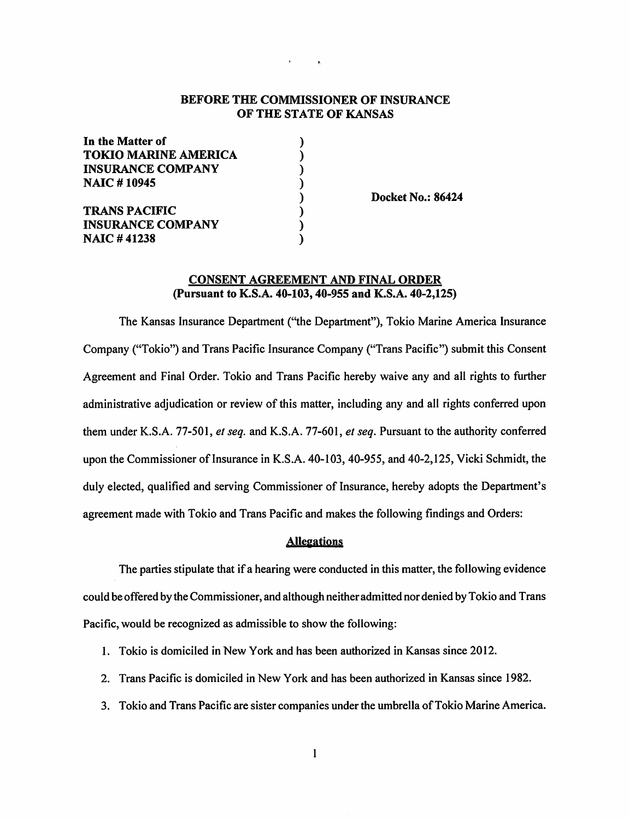# **BEFORE THE COMMISSIONER OF INSURANCE OF THE STATE OF KANSAS**

) ) ) ) ) ) ) )

| In the Matter of<br><b>TOKIO MARINE AMERICA</b><br><b>INSURANCE COMPANY</b> |  |
|-----------------------------------------------------------------------------|--|
|                                                                             |  |
|                                                                             |  |
| <b>NAIC #10945</b>                                                          |  |
| <b>TRANS PACIFIC</b>                                                        |  |
| <b>INSURANCE COMPANY</b>                                                    |  |
| <b>NAIC#41238</b>                                                           |  |

**Docket No.: 86424** 

## **CONSENT AGREEMENT AND FINAL ORDER (Pursuant to K.S.A. 40-103, 40-955 and K.S.A. 40-2,125)**

The Kansas Insurance Department (''the Department"), Tokio Marine America Insurance Company ("Tokio") and Trans Pacific Insurance Company ("Trans Pacific") submit this Consent Agreement and Final Order. Tokio and Trans Pacific hereby waive any and all rights to further administrative adjudication or review of this matter, including any and all rights conferred upon them under K.S.A. 77-501, *et seq.* and K.S.A. 77-601, *et seq.* Pursuant to the authority conferred upon the Commissioner of Insurance in K.S.A. 40-103, 40-955, and 40-2,125, Vicki Schmidt, the duly elected, qualified and serving Commissioner of Insurance, hereby adopts the Department's agreement made with Tokio and Trans Pacific and makes the following findings and Orders:

### **Allegations**

The parties stipulate that if a hearing were conducted in this matter, the following evidence could be offered by the Commissioner, and although neither admitted nor denied by Tokio and Trans Pacific, would be recognized as admissible to show the following:

- I. Tokio is domiciled in New York and has been authorized in Kansas since 2012.
- 2. Trans Pacific is domiciled in New York and has been authorized in Kansas since 1982.
- 3. Tokio and Trans Pacific are sister companies under the umbrella of Tokio Marine America.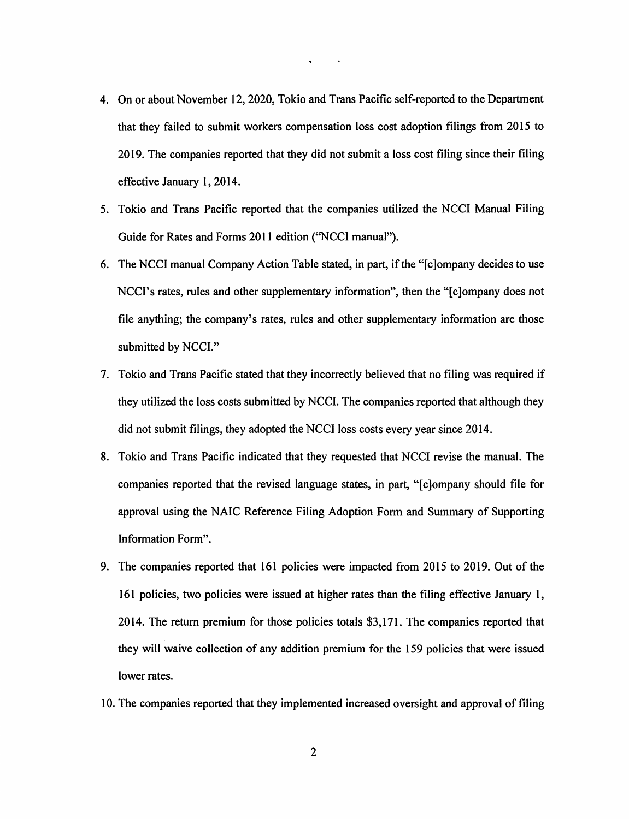4. On or about November 12, 2020, Tokio and Trans Pacific self-reported to the Department that they failed to submit workers compensation loss cost adoption filings from 2015 to 2019. The companies reported that they did not submit a loss cost filing since their filing effective January I, 2014.

 $\mathbf{q} = \mathbf{q} \times \mathbf{q}$  , where  $\mathbf{q}$ 

- 5. Tokio and Trans Pacific reported that the companies utilized the NCCI Manual Filing Guide for Rates and Forms 201 I edition (''NCCI manual").
- 6. The NCCI manual Company Action Table stated, in part, if the "[c]ompany decides to use NCCI's rates, rules and other supplementary information", then the "[c]ompany does not file anything; the company's rates, rules and other supplementary information are those submitted by NCCI."
- 7. Tokio and Trans Pacific stated that they incorrectly believed that no filing was required if they utilized the loss costs submitted by NCCI. The companies reported that although they did not submit filings, they adopted the NCCI loss costs every year since 2014.
- 8. Tokio and Trans Pacific indicated that they requested that NCCI revise the manual. The companies reported that the revised language states, in part, "[c]ompany should file for approval using the NAIC Reference Filing Adoption Form and Summary of Supporting Information Form".
- 9. The companies reported that 161 policies were impacted from 2015 to 2019. Out of the 161 policies, two policies were issued at higher rates than the filing effective January l, 2014. The return premium for those policies totals \$3,171. The companies reported that they will waive collection of any addition premium for the 159 policies that were issued lower rates.
- 10. The companies reported that they implemented increased oversight and approval of filing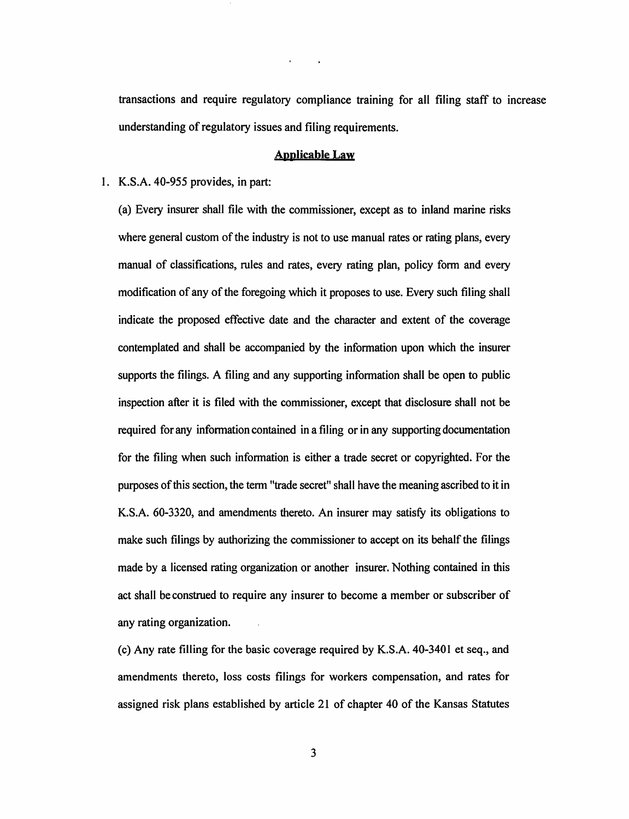transactions and require regulatory compliance training for all filing staff to increase understanding of regulatory issues and filing requirements.

#### **Applicable Law**

 $\mathbf{r} = \mathbf{r} - \mathbf{r}$ 

### I. **K.S.A.** 40-955 provides, in part:

(a) Every insurer shall file with the commissioner, except as to inland marine risks where general custom of the industry is not to use manual rates or rating plans, every manual of classifications, rules and rates, every rating plan, policy form and every modification of any of the foregoing which it proposes to use. Every such filing shall indicate the proposed effective date and the character and extent of the coverage contemplated and shall be accompanied by the information upon which the insurer supports the filings. A filing and any supporting information shall be open to public inspection after it is filed with the commissioner, except that disclosure shall not be required for any information contained in a filing or in any supporting documentation for the filing when such information is either a trade secret or copyrighted. For the purposes of this section, the term "trade secret" shall have the meaning ascribed to it in K.S.A. 60-3320, and amendments thereto. An insurer may satisfy its obligations to make such filings by authorizing the commissioner to accept on its behalf the filings made by a licensed rating organization or another insurer. Nothing contained in this act shall be construed to require any insurer to become a member or subscriber of any rating organization.

(c) Any rate filling for the basic coverage required by K.S.A. 40-3401 et seq., and amendments thereto, loss costs filings for workers compensation, and rates for assigned risk plans established by article 21 of chapter 40 of the Kansas Statutes

3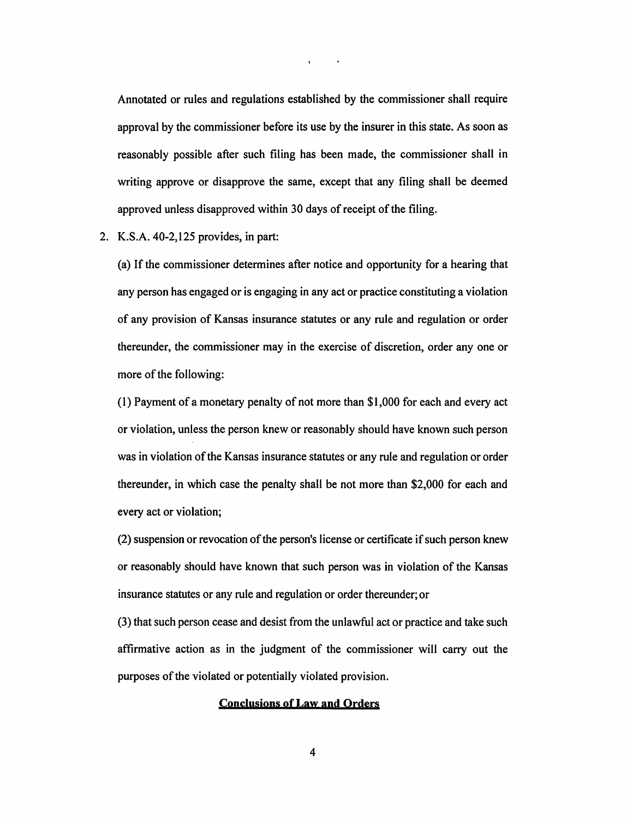Annotated or rules and regulations established by the commissioner shall require approval by the commissioner before its use by the insurer in this state. As soon as reasonably possible after such filing has been made, the commissioner shall in writing approve or disapprove the same, except that any filing shall be deemed approved unless disapproved within 30 days of receipt of the filing.

 $\mathbf{s} = \mathbf{0} \times \mathbf{0}$  .

2. K.S.A. 40-2,125 provides, in part:

(a) If the commissioner determines after notice and opportunity for a hearing that any person has engaged or is engaging in any act or practice constituting a violation of any provision of Kansas insurance statutes or any rule and regulation or order thereunder, the commissioner may in the exercise of discretion, order any one or more of the following:

( 1) Payment of a monetary penalty of not more than \$1,000 for each and every act or violation, unless the person knew or reasonably should have known such person was in violation of the Kansas insurance statutes or any rule and regulation or order thereunder, in which case the penalty shall be not more than \$2,000 for each and every act or violation;

(2) suspension or revocation of the person's license or certificate if such person knew or reasonably should have known that such person was in violation of the Kansas insurance statutes or any rule and regulation or order thereunder; or

(3) that such person cease and desist from the unlawful act or practice and take such affirmative action as in the judgment of the commissioner will carry out the purposes of the violated or potentially violated provision.

# **Conclusions of Law and Orders**

4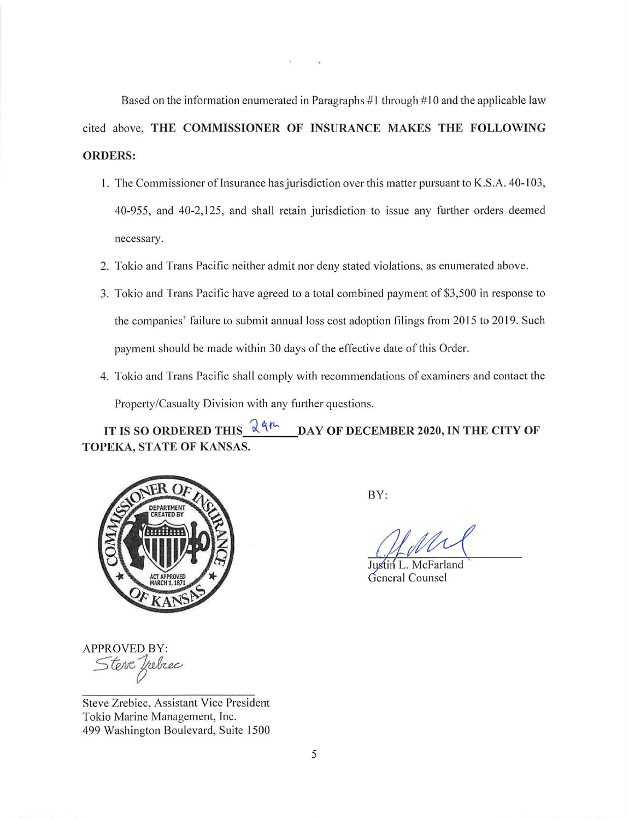Based on the information enumerated in Paragraphs  $#1$  through  $#10$  and the applicable law cited above, **THE COMMISSIONER OF INSURANCE MAKES THE FOLLOWING ORDERS:** 

 $\widetilde{\mathcal{X}}$ 

- 1. The Commissioner of Insurance has jurisdiction over this matter pursuant to K.S.A. 40-103, 40-955, and 40-2, 125, and shall retain jurisdiction to issue any further orders deemed necessary.
- 2. Tokio and Trans Pacific neither admit nor deny stated violations, as enumerated above.
- 3. Tokio and Trans Pacific have agreed to a total combined payment of \$3,500 in response to the companies' failure to submit annual loss cost adoption filings from 2015 to 2019. Such payment should be made within 30 days of the effective date of this Order.
- 4. Tokio and Trans Pacific shall comply with recommendations of examiners and contact the Property/Casualty Division with any further questions.

IT IS SO ORDERED THIS  $\frac{1}{2}$   $4h$  **DAY OF DECEMBER 2020, IN THE CITY OF TOPEKA, STATE OF KANSAS.** 



BY:

Justin L. McFarland General Counsel

APPROVED BY: *5~r* 

Steve Zrebiec, Assistant Vice President Tokio Marine Management, Inc. 499 Washington Boulevard, Suite 1500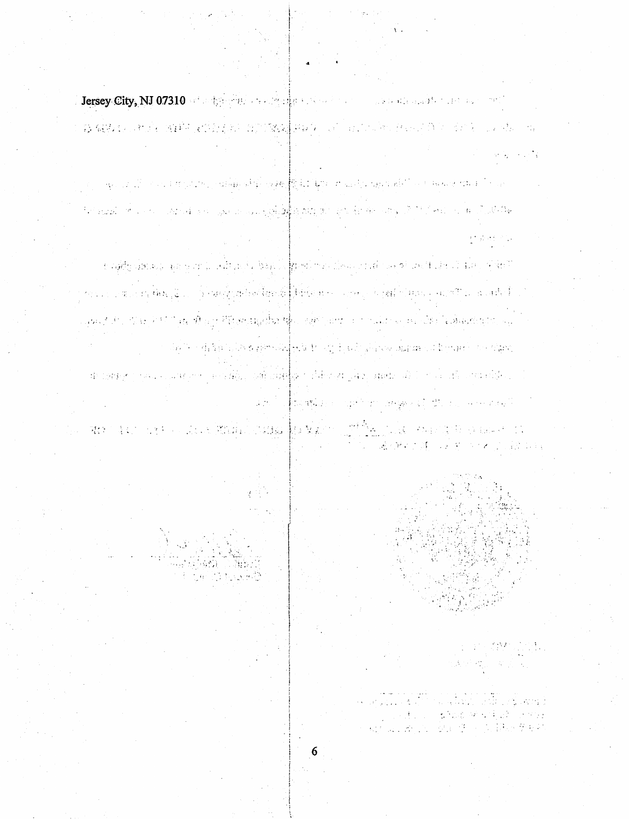First y. City, NJ 07310 of a the first state of the second contract of the second state of the 

a apart of the computer participately appeal of the computer particle in the computer of the computer of the c the quality of the control of the space and gold of lasting and an international of the form of a sill white

to natificialment and completed that is a band in presidential theory and complete the state of the United States อนเป็นต่อง พ.ศิษณ์รับ แล้ว โดยครับสะใจครั้งสะดังโด้รับอังคม การเพลง โดยมีกับมูลออกสมพิธี มา ส่วนทั้งนั้ gan Alder (1833-) e til 1936. Á 1937 Phrasainn An Air Air Siney (1997-1991) no 1946 að í Laknastiskupinu (194 ીએ છે. તેની ધૂકો છોડે 8 કોઈ વચ્ચેર <mark>વર્ષો છે</mark>. રાષ્ટ્રી છે, એક પ્રોનોપર્સ્ટ પ્રકાશિક હોવી પુષ્પાતને પ્રાપ્ત જોણાવ าส่วนสัญชาวาลมา และเขาชาวาลาร์สอัน และ แม้เป็นผู้ใน ทางสังเหตุ เพิ่มปาสุดใน เมื่อว่า ทางไปเมืองหนังเป็นประเทศ and a propriety of the management that is a compact.

**START START** 28 关于不可以解决的



 $\mathcal{P} \in \mathcal{W}$  , i.e.,  $\mathbb{R}^2$  and  $\mathbb{R}^2$  and  $\mathbb{R}^2$ 

 $\mathcal{O}(\mathcal{O}_\mathcal{O})$  . The  $\mathcal{O}(\mathcal{O}_\mathcal{O})$ 

精神病 あきし

a na katika matang sing at offer them. 第238页 法通过 医阴部部分开关